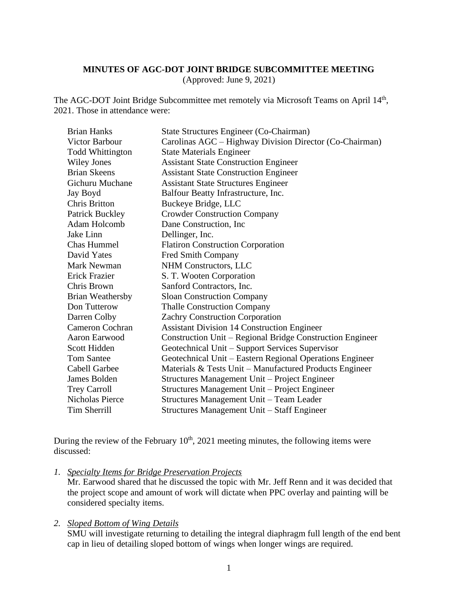#### **MINUTES OF AGC-DOT JOINT BRIDGE SUBCOMMITTEE MEETING**

(Approved: June 9, 2021)

The AGC-DOT Joint Bridge Subcommittee met remotely via Microsoft Teams on April 14<sup>th</sup>, 2021. Those in attendance were:

| <b>Brian Hanks</b>      | State Structures Engineer (Co-Chairman)                   |
|-------------------------|-----------------------------------------------------------|
| <b>Victor Barbour</b>   | Carolinas AGC – Highway Division Director (Co-Chairman)   |
| <b>Todd Whittington</b> | <b>State Materials Engineer</b>                           |
| <b>Wiley Jones</b>      | <b>Assistant State Construction Engineer</b>              |
| <b>Brian Skeens</b>     | <b>Assistant State Construction Engineer</b>              |
| Gichuru Muchane         | <b>Assistant State Structures Engineer</b>                |
| Jay Boyd                | Balfour Beatty Infrastructure, Inc.                       |
| <b>Chris Britton</b>    | Buckeye Bridge, LLC                                       |
| <b>Patrick Buckley</b>  | <b>Crowder Construction Company</b>                       |
| Adam Holcomb            | Dane Construction, Inc.                                   |
| Jake Linn               | Dellinger, Inc.                                           |
| <b>Chas Hummel</b>      | <b>Flatiron Construction Corporation</b>                  |
| David Yates             | Fred Smith Company                                        |
| <b>Mark Newman</b>      | NHM Constructors, LLC                                     |
| Erick Frazier           | S. T. Wooten Corporation                                  |
| Chris Brown             | Sanford Contractors, Inc.                                 |
| <b>Brian Weathersby</b> | <b>Sloan Construction Company</b>                         |
| Don Tutterow            | <b>Thalle Construction Company</b>                        |
| Darren Colby            | <b>Zachry Construction Corporation</b>                    |
| <b>Cameron Cochran</b>  | <b>Assistant Division 14 Construction Engineer</b>        |
| Aaron Earwood           | Construction Unit – Regional Bridge Construction Engineer |
| Scott Hidden            | Geotechnical Unit – Support Services Supervisor           |
| <b>Tom Santee</b>       | Geotechnical Unit – Eastern Regional Operations Engineer  |
| <b>Cabell Garbee</b>    | Materials & Tests Unit – Manufactured Products Engineer   |
| James Bolden            | Structures Management Unit – Project Engineer             |
| <b>Trey Carroll</b>     | Structures Management Unit – Project Engineer             |
| <b>Nicholas Pierce</b>  | Structures Management Unit - Team Leader                  |
| <b>Tim Sherrill</b>     | Structures Management Unit – Staff Engineer               |

During the review of the February  $10<sup>th</sup>$ , 2021 meeting minutes, the following items were discussed:

*1. Specialty Items for Bridge Preservation Projects*

Mr. Earwood shared that he discussed the topic with Mr. Jeff Renn and it was decided that the project scope and amount of work will dictate when PPC overlay and painting will be considered specialty items.

#### *2. Sloped Bottom of Wing Details*

SMU will investigate returning to detailing the integral diaphragm full length of the end bent cap in lieu of detailing sloped bottom of wings when longer wings are required.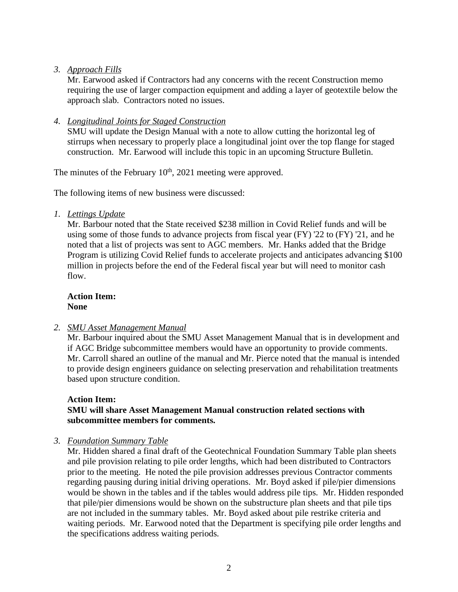# *3. Approach Fills*

Mr. Earwood asked if Contractors had any concerns with the recent Construction memo requiring the use of larger compaction equipment and adding a layer of geotextile below the approach slab. Contractors noted no issues.

## *4. Longitudinal Joints for Staged Construction*

SMU will update the Design Manual with a note to allow cutting the horizontal leg of stirrups when necessary to properly place a longitudinal joint over the top flange for staged construction. Mr. Earwood will include this topic in an upcoming Structure Bulletin.

The minutes of the February  $10<sup>th</sup>$ , 2021 meeting were approved.

The following items of new business were discussed:

*1. Lettings Update*

Mr. Barbour noted that the State received \$238 million in Covid Relief funds and will be using some of those funds to advance projects from fiscal year (FY) '22 to (FY) '21, and he noted that a list of projects was sent to AGC members. Mr. Hanks added that the Bridge Program is utilizing Covid Relief funds to accelerate projects and anticipates advancing \$100 million in projects before the end of the Federal fiscal year but will need to monitor cash flow.

**Action Item: None**

#### *2. SMU Asset Management Manual*

Mr. Barbour inquired about the SMU Asset Management Manual that is in development and if AGC Bridge subcommittee members would have an opportunity to provide comments. Mr. Carroll shared an outline of the manual and Mr. Pierce noted that the manual is intended to provide design engineers guidance on selecting preservation and rehabilitation treatments based upon structure condition.

#### **Action Item:**

## **SMU will share Asset Management Manual construction related sections with subcommittee members for comments.**

*3. Foundation Summary Table*

Mr. Hidden shared a final draft of the Geotechnical Foundation Summary Table plan sheets and pile provision relating to pile order lengths, which had been distributed to Contractors prior to the meeting. He noted the pile provision addresses previous Contractor comments regarding pausing during initial driving operations. Mr. Boyd asked if pile/pier dimensions would be shown in the tables and if the tables would address pile tips. Mr. Hidden responded that pile/pier dimensions would be shown on the substructure plan sheets and that pile tips are not included in the summary tables. Mr. Boyd asked about pile restrike criteria and waiting periods. Mr. Earwood noted that the Department is specifying pile order lengths and the specifications address waiting periods.